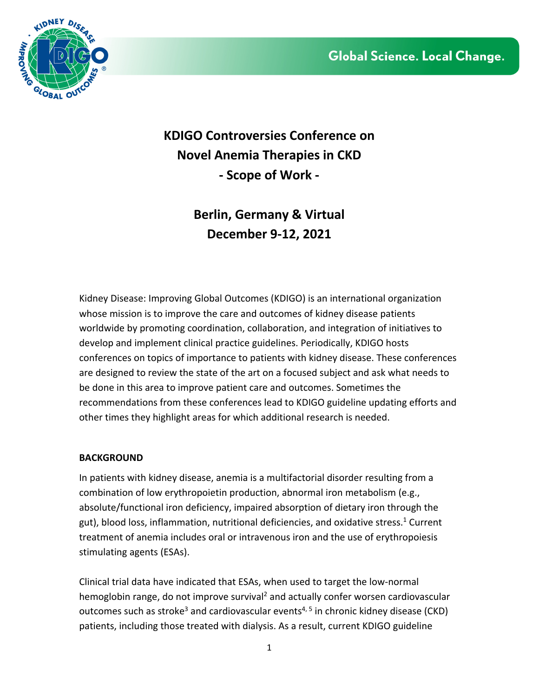

**KDIGO Controversies Conference on Novel Anemia Therapies in CKD - Scope of Work -**

> **Berlin, Germany & Virtual December 9-12, 2021**

Kidney Disease: Improving Global Outcomes (KDIGO) is an international organization whose mission is to improve the care and outcomes of kidney disease patients worldwide by promoting coordination, collaboration, and integration of initiatives to develop and implement clinical practice guidelines. Periodically, KDIGO hosts conferences on topics of importance to patients with kidney disease. These conferences are designed to review the state of the art on a focused subject and ask what needs to be done in this area to improve patient care and outcomes. Sometimes the recommendations from these conferences lead to KDIGO guideline updating efforts and other times they highlight areas for which additional research is needed.

## **BACKGROUND**

In patients with kidney disease, anemia is a multifactorial disorder resulting from a combination of low erythropoietin production, abnormal iron metabolism (e.g., absolute/functional iron deficiency, impaired absorption of dietary iron through the gut), blood loss, inflammation, nutritional deficiencies, and oxidative stress. <sup>1</sup> Current treatment of anemia includes oral or intravenous iron and the use of erythropoiesis stimulating agents (ESAs).

Clinical trial data have indicated that ESAs, when used to target the low-normal hemoglobin range, do not improve survival<sup>2</sup> and actually confer worsen cardiovascular outcomes such as stroke<sup>3</sup> and cardiovascular events<sup>4, 5</sup> in chronic kidney disease (CKD) patients, including those treated with dialysis. As a result, current KDIGO guideline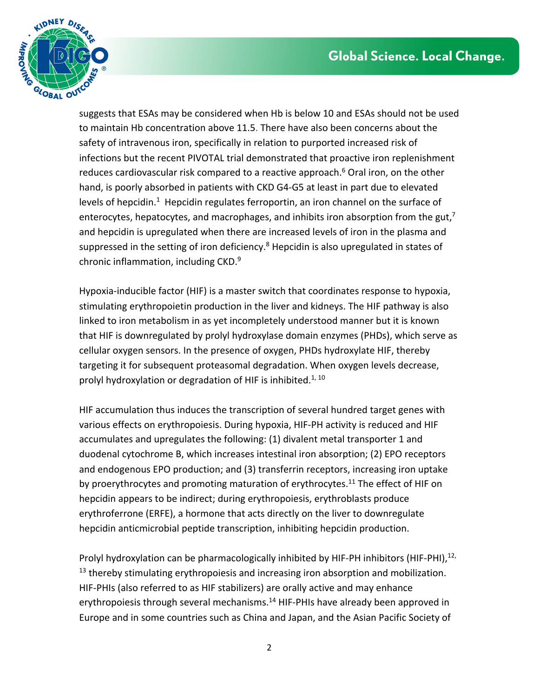

suggests that ESAs may be considered when Hb is below 10 and ESAs should not be used to maintain Hb concentration above 11.5. There have also been concerns about the safety of intravenous iron, specifically in relation to purported increased risk of infections but the recent PIVOTAL trial demonstrated that proactive iron replenishment reduces cardiovascular risk compared to a reactive approach. <sup>6</sup> Oral iron, on the other hand, is poorly absorbed in patients with CKD G4-G5 at least in part due to elevated levels of hepcidin.<sup>1</sup> Hepcidin regulates ferroportin, an iron channel on the surface of enterocytes, hepatocytes, and macrophages, and inhibits iron absorption from the gut,<sup>7</sup> and hepcidin is upregulated when there are increased levels of iron in the plasma and suppressed in the setting of iron deficiency.<sup>8</sup> Hepcidin is also upregulated in states of chronic inflammation, including CKD. 9

Hypoxia-inducible factor (HIF) is a master switch that coordinates response to hypoxia, stimulating erythropoietin production in the liver and kidneys. The HIF pathway is also linked to iron metabolism in as yet incompletely understood manner but it is known that HIF is downregulated by prolyl hydroxylase domain enzymes (PHDs), which serve as cellular oxygen sensors. In the presence of oxygen, PHDs hydroxylate HIF, thereby targeting it for subsequent proteasomal degradation. When oxygen levels decrease, prolyl hydroxylation or degradation of HIF is inhibited.<sup>1, 10</sup>

HIF accumulation thus induces the transcription of several hundred target genes with various effects on erythropoiesis. During hypoxia, HIF-PH activity is reduced and HIF accumulates and upregulates the following: (1) divalent metal transporter 1 and duodenal cytochrome B, which increases intestinal iron absorption; (2) EPO receptors and endogenous EPO production; and (3) transferrin receptors, increasing iron uptake by proerythrocytes and promoting maturation of erythrocytes.<sup>11</sup> The effect of HIF on hepcidin appears to be indirect; during erythropoiesis, erythroblasts produce erythroferrone (ERFE), a hormone that acts directly on the liver to downregulate hepcidin anticmicrobial peptide transcription, inhibiting hepcidin production.

Prolyl hydroxylation can be pharmacologically inhibited by HIF-PH inhibitors (HIF-PHI),<sup>12,</sup>  $13$  thereby stimulating erythropoiesis and increasing iron absorption and mobilization. HIF-PHIs (also referred to as HIF stabilizers) are orally active and may enhance erythropoiesis through several mechanisms.<sup>14</sup> HIF-PHIs have already been approved in Europe and in some countries such as China and Japan, and the Asian Pacific Society of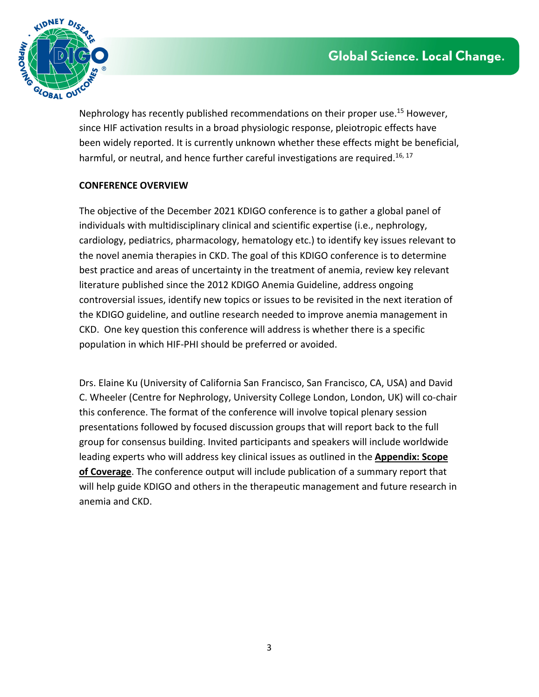

Nephrology has recently published recommendations on their proper use.<sup>15</sup> However, since HIF activation results in a broad physiologic response, pleiotropic effects have been widely reported. It is currently unknown whether these effects might be beneficial, harmful, or neutral, and hence further careful investigations are required.<sup>16, 17</sup>

## **CONFERENCE OVERVIEW**

The objective of the December 2021 KDIGO conference is to gather a global panel of individuals with multidisciplinary clinical and scientific expertise (i.e., nephrology, cardiology, pediatrics, pharmacology, hematology etc.) to identify key issues relevant to the novel anemia therapies in CKD. The goal of this KDIGO conference is to determine best practice and areas of uncertainty in the treatment of anemia, review key relevant literature published since the 2012 KDIGO Anemia Guideline, address ongoing controversial issues, identify new topics or issues to be revisited in the next iteration of the KDIGO guideline, and outline research needed to improve anemia management in CKD. One key question this conference will address is whether there is a specific population in which HIF-PHI should be preferred or avoided.

Drs. Elaine Ku (University of California San Francisco, San Francisco, CA, USA) and David C. Wheeler (Centre for Nephrology, University College London, London, UK) will co-chair this conference. The format of the conference will involve topical plenary session presentations followed by focused discussion groups that will report back to the full group for consensus building. Invited participants and speakers will include worldwide leading experts who will address key clinical issues as outlined in the **Appendix: Scope of Coverage**. The conference output will include publication of a summary report that will help guide KDIGO and others in the therapeutic management and future research in anemia and CKD.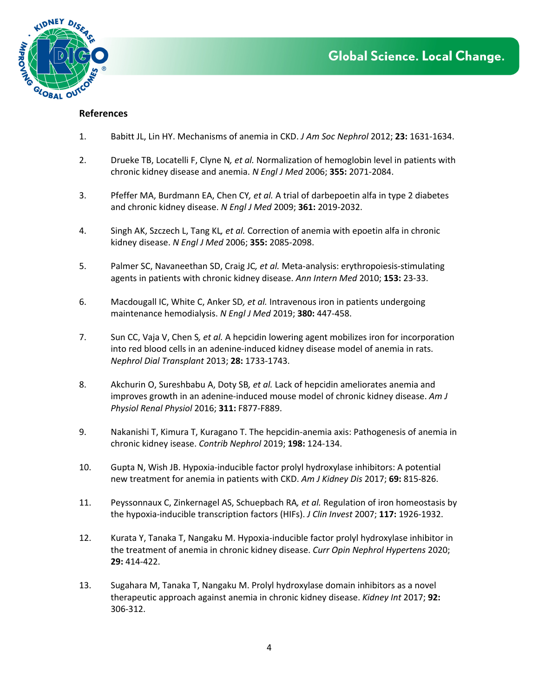

#### **References**

- 1. Babitt JL, Lin HY. Mechanisms of anemia in CKD. *J Am Soc Nephrol* 2012; **23:** 1631-1634.
- 2. Drueke TB, Locatelli F, Clyne N*, et al.* Normalization of hemoglobin level in patients with chronic kidney disease and anemia. *N Engl J Med* 2006; **355:** 2071-2084.
- 3. Pfeffer MA, Burdmann EA, Chen CY*, et al.* A trial of darbepoetin alfa in type 2 diabetes and chronic kidney disease. *N Engl J Med* 2009; **361:** 2019-2032.
- 4. Singh AK, Szczech L, Tang KL*, et al.* Correction of anemia with epoetin alfa in chronic kidney disease. *N Engl J Med* 2006; **355:** 2085-2098.
- 5. Palmer SC, Navaneethan SD, Craig JC*, et al.* Meta-analysis: erythropoiesis-stimulating agents in patients with chronic kidney disease. *Ann Intern Med* 2010; **153:** 23-33.
- 6. Macdougall IC, White C, Anker SD*, et al.* Intravenous iron in patients undergoing maintenance hemodialysis. *N Engl J Med* 2019; **380:** 447-458.
- 7. Sun CC, Vaja V, Chen S*, et al.* A hepcidin lowering agent mobilizes iron for incorporation into red blood cells in an adenine-induced kidney disease model of anemia in rats. *Nephrol Dial Transplant* 2013; **28:** 1733-1743.
- 8. Akchurin O, Sureshbabu A, Doty SB*, et al.* Lack of hepcidin ameliorates anemia and improves growth in an adenine-induced mouse model of chronic kidney disease. *Am J Physiol Renal Physiol* 2016; **311:** F877-F889.
- 9. Nakanishi T, Kimura T, Kuragano T. The hepcidin-anemia axis: Pathogenesis of anemia in chronic kidney isease. *Contrib Nephrol* 2019; **198:** 124-134.
- 10. Gupta N, Wish JB. Hypoxia-inducible factor prolyl hydroxylase inhibitors: A potential new treatment for anemia in patients with CKD. *Am J Kidney Dis* 2017; **69:** 815-826.
- 11. Peyssonnaux C, Zinkernagel AS, Schuepbach RA*, et al.* Regulation of iron homeostasis by the hypoxia-inducible transcription factors (HIFs). *J Clin Invest* 2007; **117:** 1926-1932.
- 12. Kurata Y, Tanaka T, Nangaku M. Hypoxia-inducible factor prolyl hydroxylase inhibitor in the treatment of anemia in chronic kidney disease. *Curr Opin Nephrol Hypertens* 2020; **29:** 414-422.
- 13. Sugahara M, Tanaka T, Nangaku M. Prolyl hydroxylase domain inhibitors as a novel therapeutic approach against anemia in chronic kidney disease. *Kidney Int* 2017; **92:**  306-312.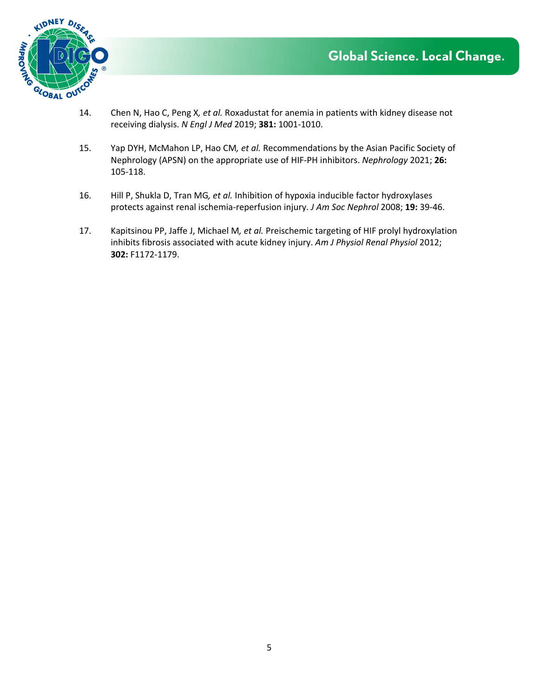

- 14. Chen N, Hao C, Peng X*, et al.* Roxadustat for anemia in patients with kidney disease not receiving dialysis. *N Engl J Med* 2019; **381:** 1001-1010.
- 15. Yap DYH, McMahon LP, Hao CM*, et al.* Recommendations by the Asian Pacific Society of Nephrology (APSN) on the appropriate use of HIF-PH inhibitors. *Nephrology* 2021; **26:**  105-118.
- 16. Hill P, Shukla D, Tran MG*, et al.* Inhibition of hypoxia inducible factor hydroxylases protects against renal ischemia-reperfusion injury. *J Am Soc Nephrol* 2008; **19:** 39-46.
- 17. Kapitsinou PP, Jaffe J, Michael M*, et al.* Preischemic targeting of HIF prolyl hydroxylation inhibits fibrosis associated with acute kidney injury. *Am J Physiol Renal Physiol* 2012; **302:** F1172-1179.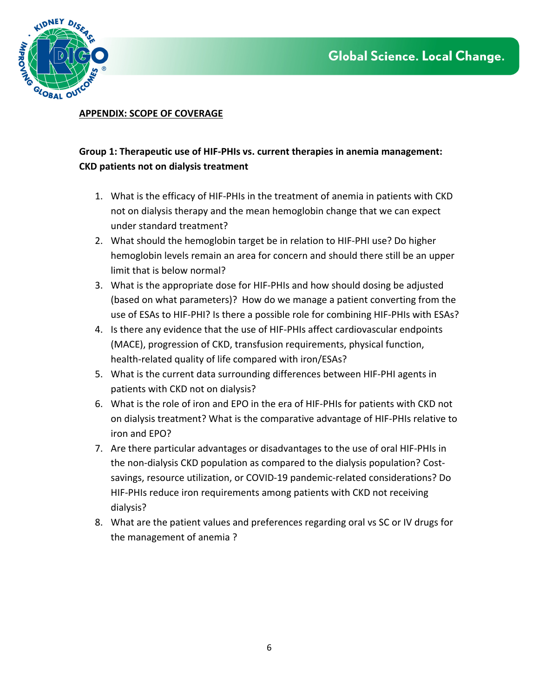

### **APPENDIX: SCOPE OF COVERAGE**

# **Group 1: Therapeutic use of HIF-PHIs vs. current therapies in anemia management: CKD patients not on dialysis treatment**

- 1. What is the efficacy of HIF-PHIs in the treatment of anemia in patients with CKD not on dialysis therapy and the mean hemoglobin change that we can expect under standard treatment?
- 2. What should the hemoglobin target be in relation to HIF-PHI use? Do higher hemoglobin levels remain an area for concern and should there still be an upper limit that is below normal?
- 3. What is the appropriate dose for HIF-PHIs and how should dosing be adjusted (based on what parameters)? How do we manage a patient converting from the use of ESAs to HIF-PHI? Is there a possible role for combining HIF-PHIs with ESAs?
- 4. Is there any evidence that the use of HIF-PHIs affect cardiovascular endpoints (MACE), progression of CKD, transfusion requirements, physical function, health-related quality of life compared with iron/ESAs?
- 5. What is the current data surrounding differences between HIF-PHI agents in patients with CKD not on dialysis?
- 6. What is the role of iron and EPO in the era of HIF-PHIs for patients with CKD not on dialysis treatment? What is the comparative advantage of HIF-PHIs relative to iron and EPO?
- 7. Are there particular advantages or disadvantages to the use of oral HIF-PHIs in the non-dialysis CKD population as compared to the dialysis population? Costsavings, resource utilization, or COVID-19 pandemic-related considerations? Do HIF-PHIs reduce iron requirements among patients with CKD not receiving dialysis?
- 8. What are the patient values and preferences regarding oral vs SC or IV drugs for the management of anemia ?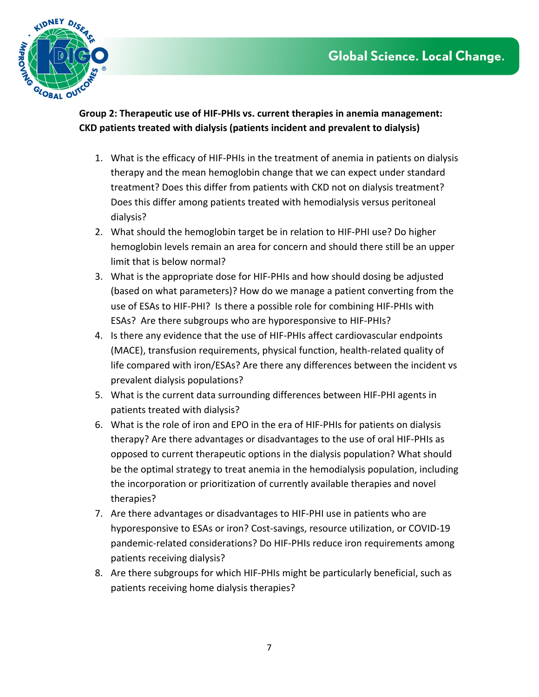

**Group 2: Therapeutic use of HIF-PHIs vs. current therapies in anemia management: CKD patients treated with dialysis (patients incident and prevalent to dialysis)** 

- 1. What is the efficacy of HIF-PHIs in the treatment of anemia in patients on dialysis therapy and the mean hemoglobin change that we can expect under standard treatment? Does this differ from patients with CKD not on dialysis treatment? Does this differ among patients treated with hemodialysis versus peritoneal dialysis?
- 2. What should the hemoglobin target be in relation to HIF-PHI use? Do higher hemoglobin levels remain an area for concern and should there still be an upper limit that is below normal?
- 3. What is the appropriate dose for HIF-PHIs and how should dosing be adjusted (based on what parameters)? How do we manage a patient converting from the use of ESAs to HIF-PHI? Is there a possible role for combining HIF-PHIs with ESAs? Are there subgroups who are hyporesponsive to HIF-PHIs?
- 4. Is there any evidence that the use of HIF-PHIs affect cardiovascular endpoints (MACE), transfusion requirements, physical function, health-related quality of life compared with iron/ESAs? Are there any differences between the incident vs prevalent dialysis populations?
- 5. What is the current data surrounding differences between HIF-PHI agents in patients treated with dialysis?
- 6. What is the role of iron and EPO in the era of HIF-PHIs for patients on dialysis therapy? Are there advantages or disadvantages to the use of oral HIF-PHIs as opposed to current therapeutic options in the dialysis population? What should be the optimal strategy to treat anemia in the hemodialysis population, including the incorporation or prioritization of currently available therapies and novel therapies?
- 7. Are there advantages or disadvantages to HIF-PHI use in patients who are hyporesponsive to ESAs or iron? Cost-savings, resource utilization, or COVID-19 pandemic-related considerations? Do HIF-PHIs reduce iron requirements among patients receiving dialysis?
- 8. Are there subgroups for which HIF-PHIs might be particularly beneficial, such as patients receiving home dialysis therapies?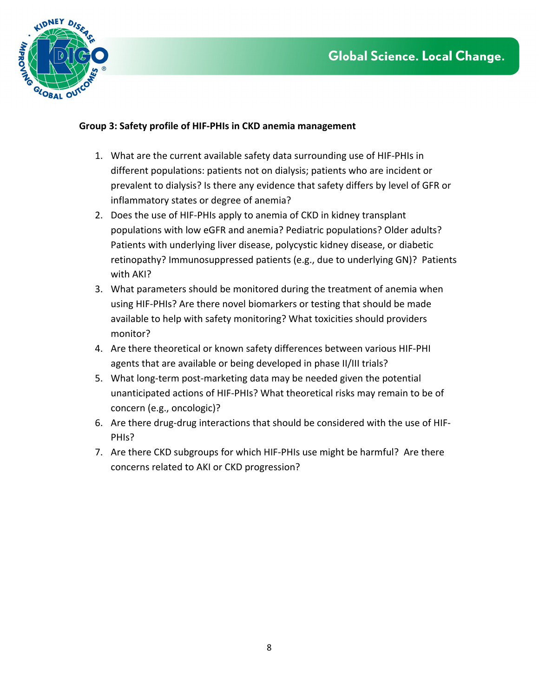

## **Group 3: Safety profile of HIF-PHIs in CKD anemia management**

- 1. What are the current available safety data surrounding use of HIF-PHIs in different populations: patients not on dialysis; patients who are incident or prevalent to dialysis? Is there any evidence that safety differs by level of GFR or inflammatory states or degree of anemia?
- 2. Does the use of HIF-PHIs apply to anemia of CKD in kidney transplant populations with low eGFR and anemia? Pediatric populations? Older adults? Patients with underlying liver disease, polycystic kidney disease, or diabetic retinopathy? Immunosuppressed patients (e.g., due to underlying GN)? Patients with AKI?
- 3. What parameters should be monitored during the treatment of anemia when using HIF-PHIs? Are there novel biomarkers or testing that should be made available to help with safety monitoring? What toxicities should providers monitor?
- 4. Are there theoretical or known safety differences between various HIF-PHI agents that are available or being developed in phase II/III trials?
- 5. What long-term post-marketing data may be needed given the potential unanticipated actions of HIF-PHIs? What theoretical risks may remain to be of concern (e.g., oncologic)?
- 6. Are there drug-drug interactions that should be considered with the use of HIF-PHIs?
- 7. Are there CKD subgroups for which HIF-PHIs use might be harmful? Are there concerns related to AKI or CKD progression?